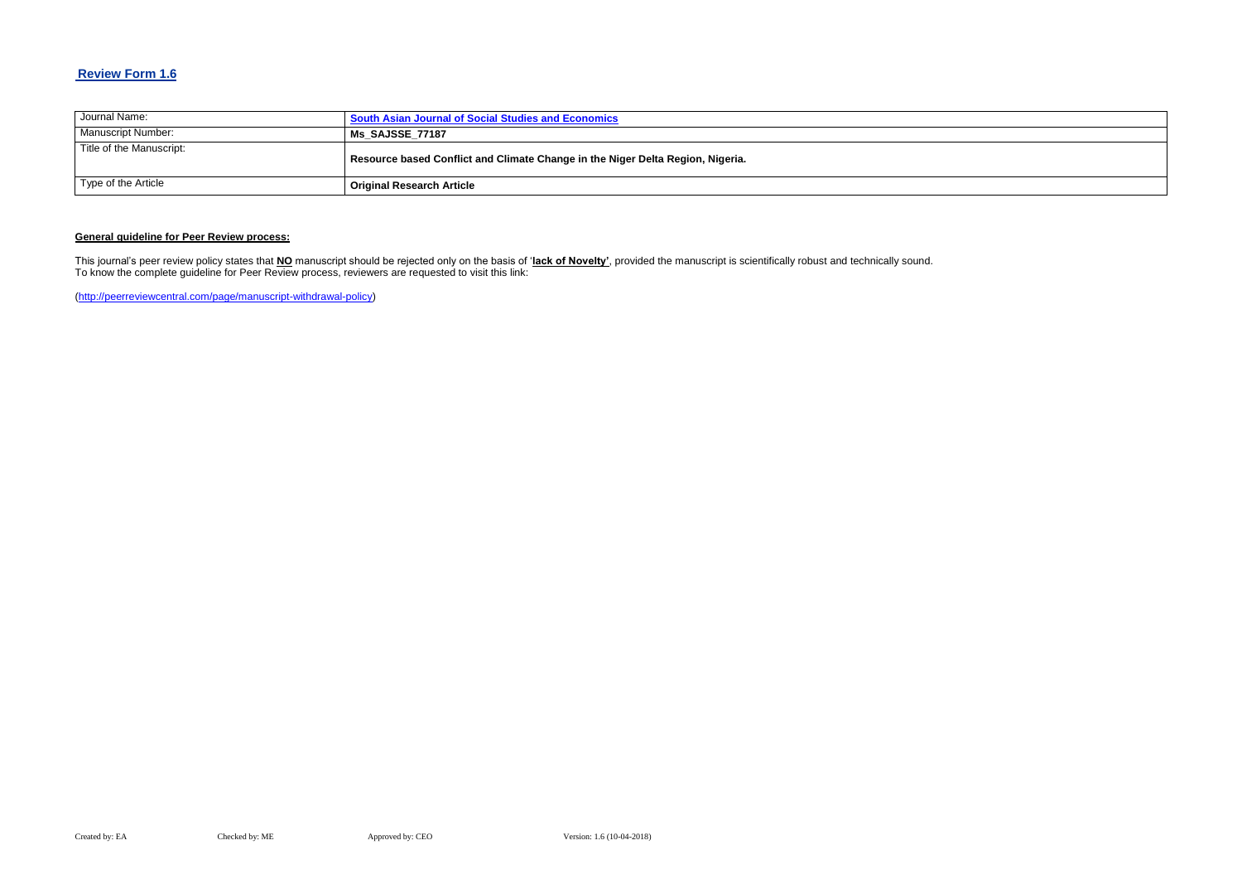## **Review Form 1.6**

| Journal Name:             | <b>South Asian Journal of Social Studies and Economics</b>                     |
|---------------------------|--------------------------------------------------------------------------------|
| <b>Manuscript Number:</b> | Ms SAJSSE 77187                                                                |
| Title of the Manuscript:  | Resource based Conflict and Climate Change in the Niger Delta Region, Nigeria. |
| Type of the Article       | <b>Original Research Article</b>                                               |

### **General guideline for Peer Review process:**

This journal's peer review policy states that **NO** manuscript should be rejected only on the basis of '**lack of Novelty'**, provided the manuscript is scientifically robust and technically sound. To know the complete guideline for Peer Review process, reviewers are requested to visit this link:

[\(http://peerreviewcentral.com/page/manuscript-withdrawal-policy\)](http://peerreviewcentral.com/page/manuscript-withdrawal-policy)

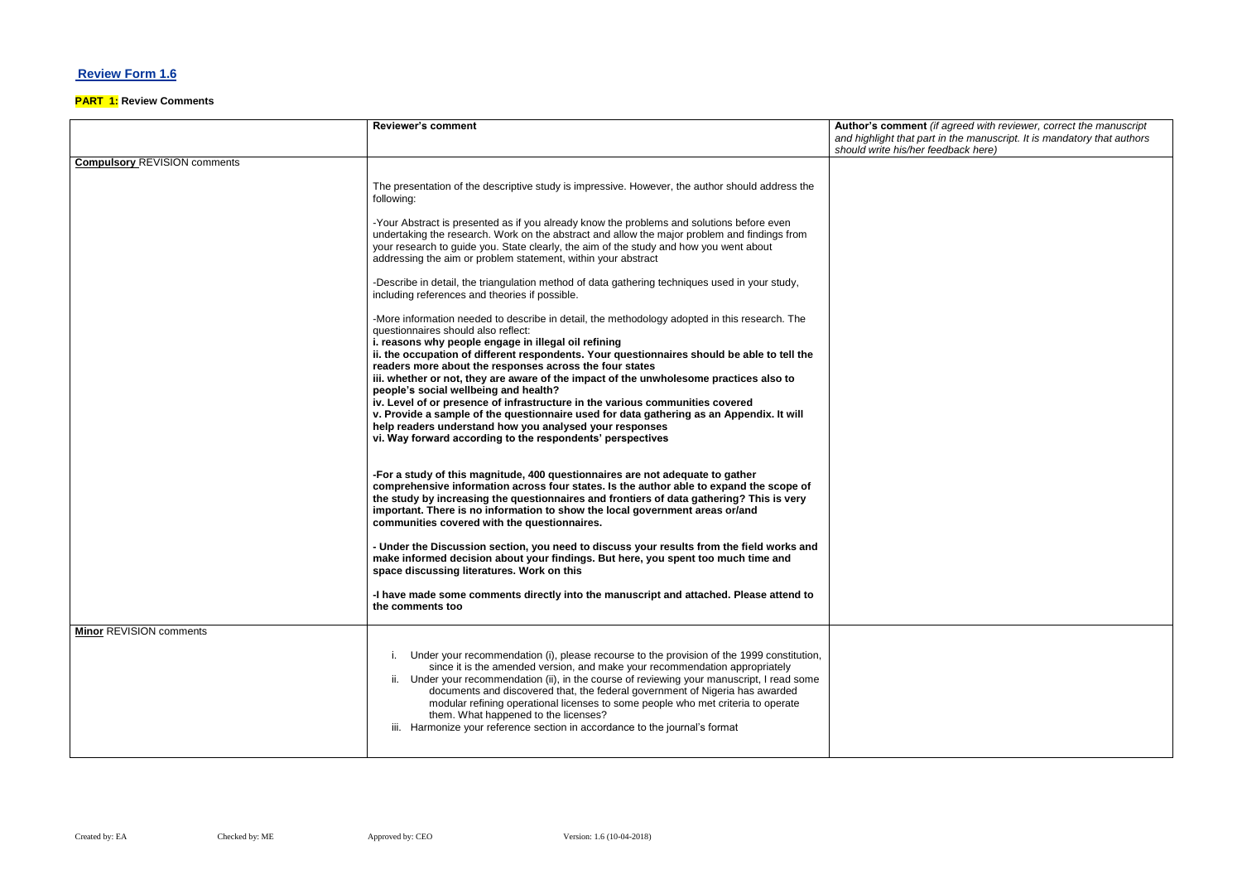## **Review Form 1.6**

#### **PART 1: Review Comments**

|                                     | <b>Reviewer's comment</b>                                                                                                                                                                                                                                                                                                                                                                                                                                                                                                                                                                                                                                                                                                         | Author's comment (if agreed with reviewer, correct the manuscrip<br>and highlight that part in the manuscript. It is mandatory that author<br>should write his/her feedback here) |
|-------------------------------------|-----------------------------------------------------------------------------------------------------------------------------------------------------------------------------------------------------------------------------------------------------------------------------------------------------------------------------------------------------------------------------------------------------------------------------------------------------------------------------------------------------------------------------------------------------------------------------------------------------------------------------------------------------------------------------------------------------------------------------------|-----------------------------------------------------------------------------------------------------------------------------------------------------------------------------------|
| <b>Compulsory REVISION comments</b> |                                                                                                                                                                                                                                                                                                                                                                                                                                                                                                                                                                                                                                                                                                                                   |                                                                                                                                                                                   |
|                                     | The presentation of the descriptive study is impressive. However, the author should address the<br>following:                                                                                                                                                                                                                                                                                                                                                                                                                                                                                                                                                                                                                     |                                                                                                                                                                                   |
|                                     | -Your Abstract is presented as if you already know the problems and solutions before even<br>undertaking the research. Work on the abstract and allow the major problem and findings from<br>your research to guide you. State clearly, the aim of the study and how you went about<br>addressing the aim or problem statement, within your abstract                                                                                                                                                                                                                                                                                                                                                                              |                                                                                                                                                                                   |
|                                     | -Describe in detail, the triangulation method of data gathering techniques used in your study,<br>including references and theories if possible.                                                                                                                                                                                                                                                                                                                                                                                                                                                                                                                                                                                  |                                                                                                                                                                                   |
|                                     | -More information needed to describe in detail, the methodology adopted in this research. The<br>questionnaires should also reflect:<br>i. reasons why people engage in illegal oil refining<br>ii. the occupation of different respondents. Your questionnaires should be able to tell the<br>readers more about the responses across the four states<br>iii. whether or not, they are aware of the impact of the unwholesome practices also to<br>people's social wellbeing and health?<br>iv. Level of or presence of infrastructure in the various communities covered<br>v. Provide a sample of the questionnaire used for data gathering as an Appendix. It will<br>help readers understand how you analysed your responses |                                                                                                                                                                                   |
|                                     | vi. Way forward according to the respondents' perspectives<br>-For a study of this magnitude, 400 questionnaires are not adequate to gather<br>comprehensive information across four states. Is the author able to expand the scope of<br>the study by increasing the questionnaires and frontiers of data gathering? This is very<br>important. There is no information to show the local government areas or/and<br>communities covered with the questionnaires.                                                                                                                                                                                                                                                                |                                                                                                                                                                                   |
|                                     | - Under the Discussion section, you need to discuss your results from the field works and<br>make informed decision about your findings. But here, you spent too much time and<br>space discussing literatures. Work on this                                                                                                                                                                                                                                                                                                                                                                                                                                                                                                      |                                                                                                                                                                                   |
|                                     | -I have made some comments directly into the manuscript and attached. Please attend to<br>the comments too                                                                                                                                                                                                                                                                                                                                                                                                                                                                                                                                                                                                                        |                                                                                                                                                                                   |
| <b>Minor REVISION comments</b>      |                                                                                                                                                                                                                                                                                                                                                                                                                                                                                                                                                                                                                                                                                                                                   |                                                                                                                                                                                   |
|                                     | Under your recommendation (i), please recourse to the provision of the 1999 constitution,<br>since it is the amended version, and make your recommendation appropriately<br>ii. Under your recommendation (ii), in the course of reviewing your manuscript, I read some<br>documents and discovered that, the federal government of Nigeria has awarded<br>modular refining operational licenses to some people who met criteria to operate<br>them. What happened to the licenses?<br>iii. Harmonize your reference section in accordance to the journal's format                                                                                                                                                                |                                                                                                                                                                                   |